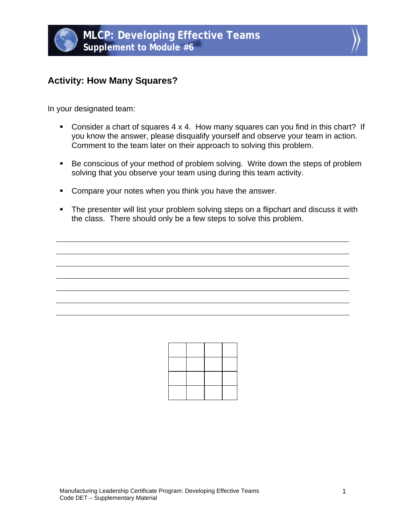



## **Activity: How Many Squares?**

In your designated team:

- Consider a chart of squares 4 x 4. How many squares can you find in this chart? If you know the answer, please disqualify yourself and observe your team in action. Comment to the team later on their approach to solving this problem.
- Be conscious of your method of problem solving. Write down the steps of problem solving that you observe your team using during this team activity.
- **Compare your notes when you think you have the answer.**
- **The presenter will list your problem solving steps on a flipchart and discuss it with** the class. There should only be a few steps to solve this problem.